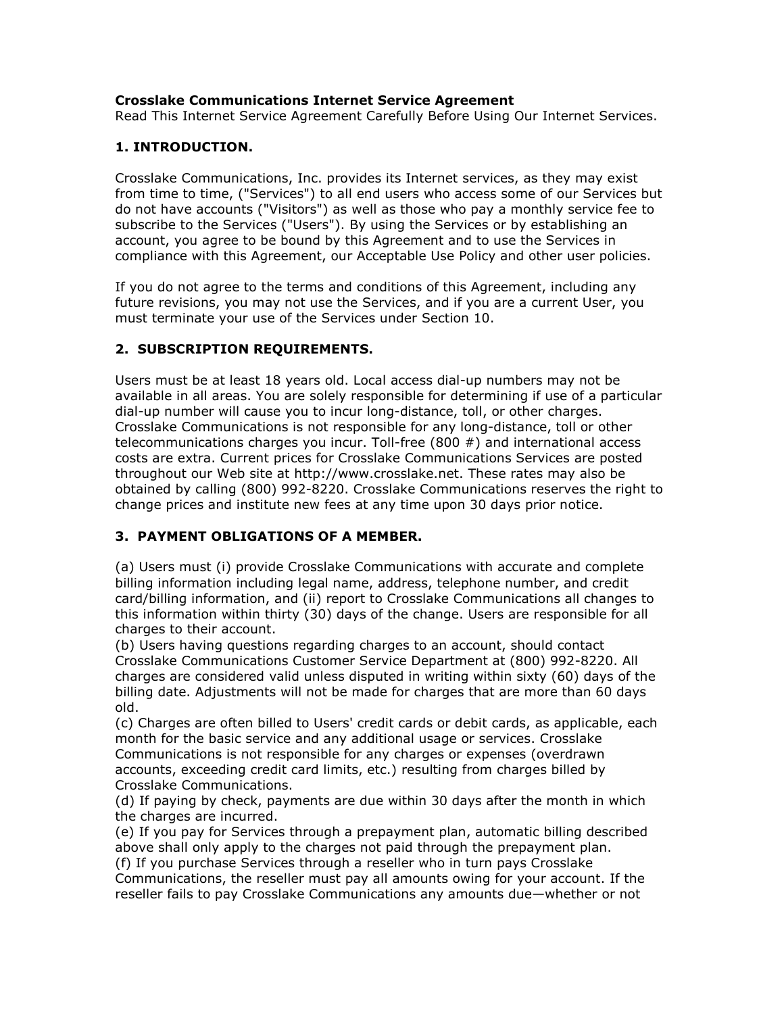## Crosslake Communications Internet Service Agreement

Read This Internet Service Agreement Carefully Before Using Our Internet Services.

## 1. INTRODUCTION.

Crosslake Communications, Inc. provides its Internet services, as they may exist from time to time, ("Services") to all end users who access some of our Services but do not have accounts ("Visitors") as well as those who pay a monthly service fee to subscribe to the Services ("Users"). By using the Services or by establishing an account, you agree to be bound by this Agreement and to use the Services in compliance with this Agreement, our Acceptable Use Policy and other user policies.

If you do not agree to the terms and conditions of this Agreement, including any future revisions, you may not use the Services, and if you are a current User, you must terminate your use of the Services under Section 10.

## 2. SUBSCRIPTION REQUIREMENTS.

Users must be at least 18 years old. Local access dial-up numbers may not be available in all areas. You are solely responsible for determining if use of a particular dial-up number will cause you to incur long-distance, toll, or other charges. Crosslake Communications is not responsible for any long-distance, toll or other telecommunications charges you incur. Toll-free (800 #) and international access costs are extra. Current prices for Crosslake Communications Services are posted throughout our Web site at http://www.crosslake.net. These rates may also be obtained by calling (800) 992-8220. Crosslake Communications reserves the right to change prices and institute new fees at any time upon 30 days prior notice.

# 3. PAYMENT OBLIGATIONS OF A MEMBER.

(a) Users must (i) provide Crosslake Communications with accurate and complete billing information including legal name, address, telephone number, and credit card/billing information, and (ii) report to Crosslake Communications all changes to this information within thirty (30) days of the change. Users are responsible for all charges to their account.

(b) Users having questions regarding charges to an account, should contact Crosslake Communications Customer Service Department at (800) 992-8220. All charges are considered valid unless disputed in writing within sixty (60) days of the billing date. Adjustments will not be made for charges that are more than 60 days old.

(c) Charges are often billed to Users' credit cards or debit cards, as applicable, each month for the basic service and any additional usage or services. Crosslake Communications is not responsible for any charges or expenses (overdrawn accounts, exceeding credit card limits, etc.) resulting from charges billed by Crosslake Communications.

(d) If paying by check, payments are due within 30 days after the month in which the charges are incurred.

(e) If you pay for Services through a prepayment plan, automatic billing described above shall only apply to the charges not paid through the prepayment plan.

(f) If you purchase Services through a reseller who in turn pays Crosslake Communications, the reseller must pay all amounts owing for your account. If the reseller fails to pay Crosslake Communications any amounts due—whether or not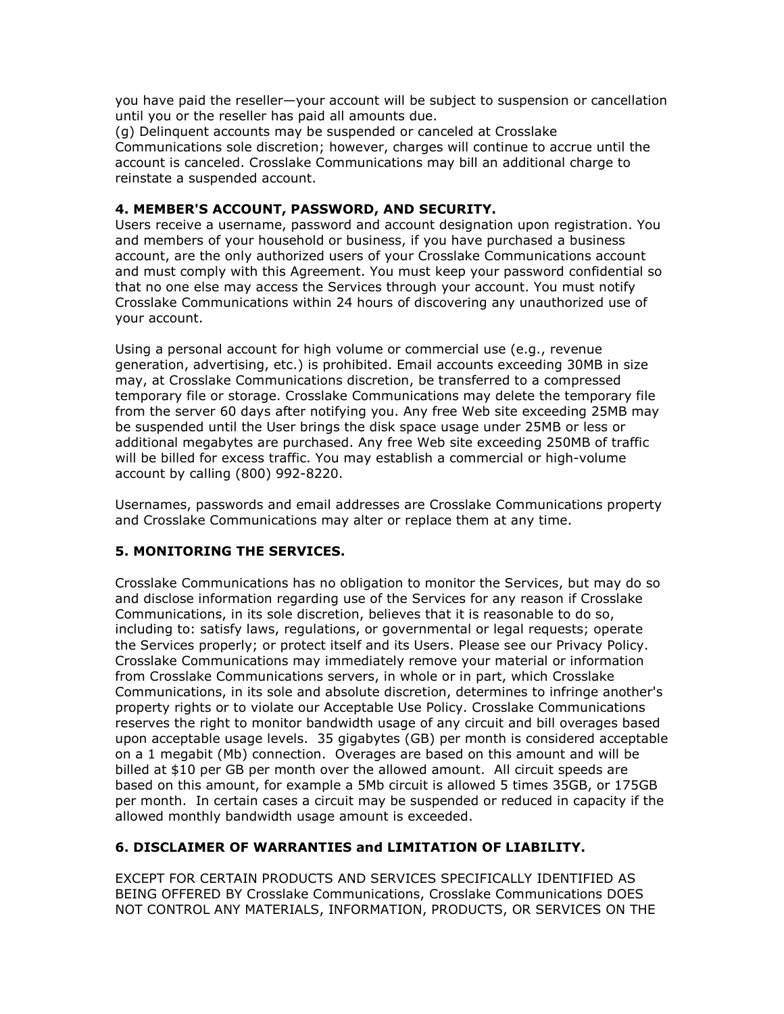you have paid the reseller—your account will be subject to suspension or cancellation until you or the reseller has paid all amounts due.

(g) Delinquent accounts may be suspended or canceled at Crosslake Communications sole discretion; however, charges will continue to accrue until the account is canceled. Crosslake Communications may bill an additional charge to reinstate a suspended account.

### 4. MEMBER'S ACCOUNT, PASSWORD, AND SECURITY.

Users receive a username, password and account designation upon registration. You and members of your household or business, if you have purchased a business account, are the only authorized users of your Crosslake Communications account and must comply with this Agreement. You must keep your password confidential so that no one else may access the Services through your account. You must notify Crosslake Communications within 24 hours of discovering any unauthorized use of your account.

Using a personal account for high volume or commercial use (e.g., revenue generation, advertising, etc.) is prohibited. Email accounts exceeding 30MB in size may, at Crosslake Communications discretion, be transferred to a compressed temporary file or storage. Crosslake Communications may delete the temporary file from the server 60 days after notifying you. Any free Web site exceeding 25MB may be suspended until the User brings the disk space usage under 25MB or less or additional megabytes are purchased. Any free Web site exceeding 250MB of traffic will be billed for excess traffic. You may establish a commercial or high-volume account by calling (800) 992-8220.

Usernames, passwords and email addresses are Crosslake Communications property and Crosslake Communications may alter or replace them at any time.

#### 5. MONITORING THE SERVICES.

Crosslake Communications has no obligation to monitor the Services, but may do so and disclose information regarding use of the Services for any reason if Crosslake Communications, in its sole discretion, believes that it is reasonable to do so, including to: satisfy laws, regulations, or governmental or legal requests; operate the Services properly; or protect itself and its Users. Please see our Privacy Policy. Crosslake Communications may immediately remove your material or information from Crosslake Communications servers, in whole or in part, which Crosslake Communications, in its sole and absolute discretion, determines to infringe another's property rights or to violate our Acceptable Use Policy. Crosslake Communications reserves the right to monitor bandwidth usage of any circuit and bill overages based upon acceptable usage levels. 35 gigabytes (GB) per month is considered acceptable on a 1 megabit (Mb) connection. Overages are based on this amount and will be billed at \$10 per GB per month over the allowed amount. All circuit speeds are based on this amount, for example a 5Mb circuit is allowed 5 times 35GB, or 175GB per month. In certain cases a circuit may be suspended or reduced in capacity if the allowed monthly bandwidth usage amount is exceeded.

#### 6. DISCLAIMER OF WARRANTIES and LIMITATION OF LIABILITY.

EXCEPT FOR CERTAIN PRODUCTS AND SERVICES SPECIFICALLY IDENTIFIED AS BEING OFFERED BY Crosslake Communications, Crosslake Communications DOES NOT CONTROL ANY MATERIALS, INFORMATION, PRODUCTS, OR SERVICES ON THE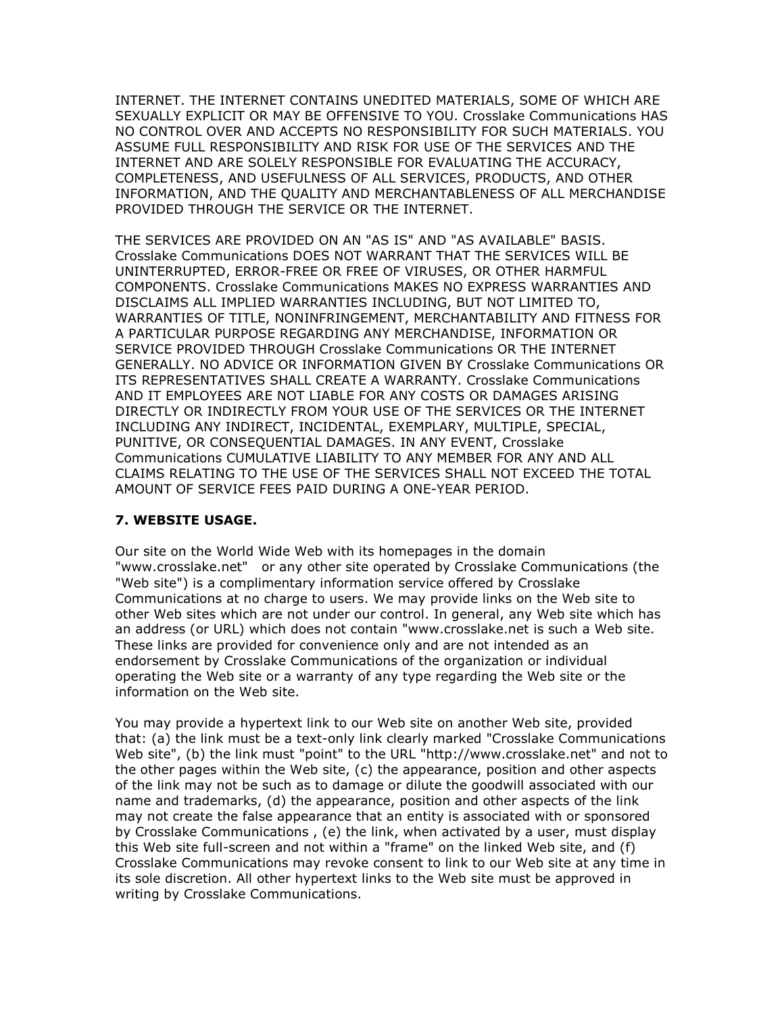INTERNET. THE INTERNET CONTAINS UNEDITED MATERIALS, SOME OF WHICH ARE SEXUALLY EXPLICIT OR MAY BE OFFENSIVE TO YOU. Crosslake Communications HAS NO CONTROL OVER AND ACCEPTS NO RESPONSIBILITY FOR SUCH MATERIALS. YOU ASSUME FULL RESPONSIBILITY AND RISK FOR USE OF THE SERVICES AND THE INTERNET AND ARE SOLELY RESPONSIBLE FOR EVALUATING THE ACCURACY, COMPLETENESS, AND USEFULNESS OF ALL SERVICES, PRODUCTS, AND OTHER INFORMATION, AND THE QUALITY AND MERCHANTABLENESS OF ALL MERCHANDISE PROVIDED THROUGH THE SERVICE OR THE INTERNET.

THE SERVICES ARE PROVIDED ON AN "AS IS" AND "AS AVAILABLE" BASIS. Crosslake Communications DOES NOT WARRANT THAT THE SERVICES WILL BE UNINTERRUPTED, ERROR-FREE OR FREE OF VIRUSES, OR OTHER HARMFUL COMPONENTS. Crosslake Communications MAKES NO EXPRESS WARRANTIES AND DISCLAIMS ALL IMPLIED WARRANTIES INCLUDING, BUT NOT LIMITED TO, WARRANTIES OF TITLE, NONINFRINGEMENT, MERCHANTABILITY AND FITNESS FOR A PARTICULAR PURPOSE REGARDING ANY MERCHANDISE, INFORMATION OR SERVICE PROVIDED THROUGH Crosslake Communications OR THE INTERNET GENERALLY. NO ADVICE OR INFORMATION GIVEN BY Crosslake Communications OR ITS REPRESENTATIVES SHALL CREATE A WARRANTY. Crosslake Communications AND IT EMPLOYEES ARE NOT LIABLE FOR ANY COSTS OR DAMAGES ARISING DIRECTLY OR INDIRECTLY FROM YOUR USE OF THE SERVICES OR THE INTERNET INCLUDING ANY INDIRECT, INCIDENTAL, EXEMPLARY, MULTIPLE, SPECIAL, PUNITIVE, OR CONSEQUENTIAL DAMAGES. IN ANY EVENT, Crosslake Communications CUMULATIVE LIABILITY TO ANY MEMBER FOR ANY AND ALL CLAIMS RELATING TO THE USE OF THE SERVICES SHALL NOT EXCEED THE TOTAL AMOUNT OF SERVICE FEES PAID DURING A ONE-YEAR PERIOD.

# 7. WEBSITE USAGE.

Our site on the World Wide Web with its homepages in the domain "www.crosslake.net" or any other site operated by Crosslake Communications (the "Web site") is a complimentary information service offered by Crosslake Communications at no charge to users. We may provide links on the Web site to other Web sites which are not under our control. In general, any Web site which has an address (or URL) which does not contain "www.crosslake.net is such a Web site. These links are provided for convenience only and are not intended as an endorsement by Crosslake Communications of the organization or individual operating the Web site or a warranty of any type regarding the Web site or the information on the Web site.

You may provide a hypertext link to our Web site on another Web site, provided that: (a) the link must be a text-only link clearly marked "Crosslake Communications Web site", (b) the link must "point" to the URL "http://www.crosslake.net" and not to the other pages within the Web site, (c) the appearance, position and other aspects of the link may not be such as to damage or dilute the goodwill associated with our name and trademarks, (d) the appearance, position and other aspects of the link may not create the false appearance that an entity is associated with or sponsored by Crosslake Communications , (e) the link, when activated by a user, must display this Web site full-screen and not within a "frame" on the linked Web site, and (f) Crosslake Communications may revoke consent to link to our Web site at any time in its sole discretion. All other hypertext links to the Web site must be approved in writing by Crosslake Communications.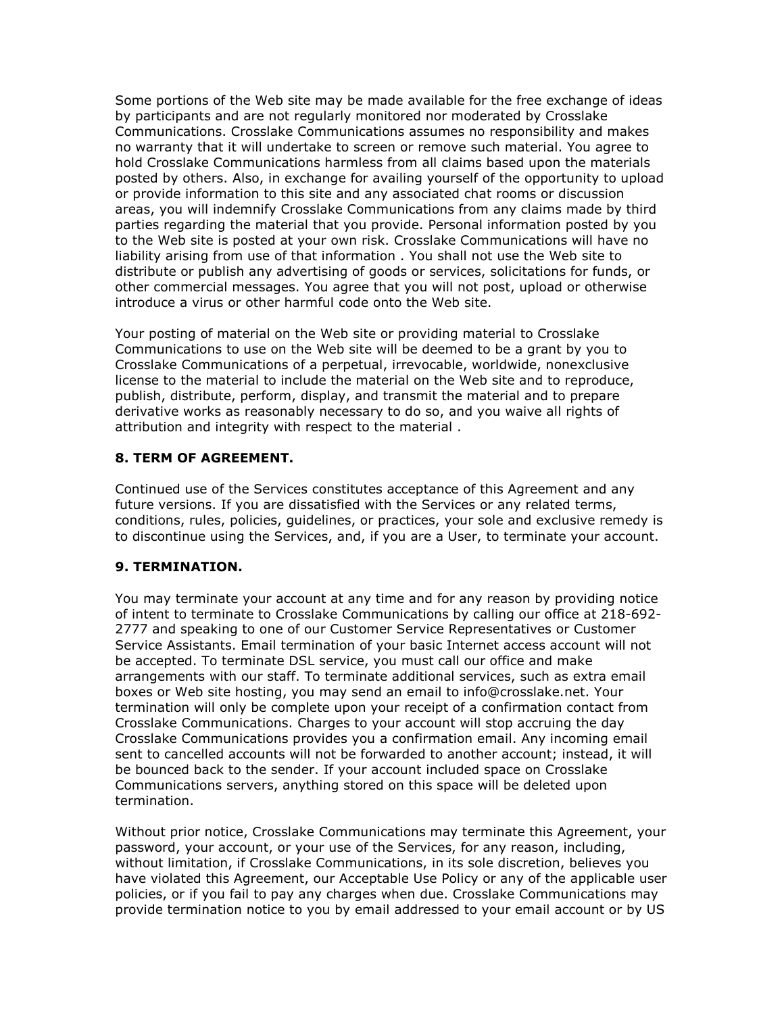Some portions of the Web site may be made available for the free exchange of ideas by participants and are not regularly monitored nor moderated by Crosslake Communications. Crosslake Communications assumes no responsibility and makes no warranty that it will undertake to screen or remove such material. You agree to hold Crosslake Communications harmless from all claims based upon the materials posted by others. Also, in exchange for availing yourself of the opportunity to upload or provide information to this site and any associated chat rooms or discussion areas, you will indemnify Crosslake Communications from any claims made by third parties regarding the material that you provide. Personal information posted by you to the Web site is posted at your own risk. Crosslake Communications will have no liability arising from use of that information . You shall not use the Web site to distribute or publish any advertising of goods or services, solicitations for funds, or other commercial messages. You agree that you will not post, upload or otherwise introduce a virus or other harmful code onto the Web site.

Your posting of material on the Web site or providing material to Crosslake Communications to use on the Web site will be deemed to be a grant by you to Crosslake Communications of a perpetual, irrevocable, worldwide, nonexclusive license to the material to include the material on the Web site and to reproduce, publish, distribute, perform, display, and transmit the material and to prepare derivative works as reasonably necessary to do so, and you waive all rights of attribution and integrity with respect to the material .

# 8. TERM OF AGREEMENT.

Continued use of the Services constitutes acceptance of this Agreement and any future versions. If you are dissatisfied with the Services or any related terms, conditions, rules, policies, guidelines, or practices, your sole and exclusive remedy is to discontinue using the Services, and, if you are a User, to terminate your account.

# 9. TERMINATION.

You may terminate your account at any time and for any reason by providing notice of intent to terminate to Crosslake Communications by calling our office at 218-692- 2777 and speaking to one of our Customer Service Representatives or Customer Service Assistants. Email termination of your basic Internet access account will not be accepted. To terminate DSL service, you must call our office and make arrangements with our staff. To terminate additional services, such as extra email boxes or Web site hosting, you may send an email to info@crosslake.net. Your termination will only be complete upon your receipt of a confirmation contact from Crosslake Communications. Charges to your account will stop accruing the day Crosslake Communications provides you a confirmation email. Any incoming email sent to cancelled accounts will not be forwarded to another account; instead, it will be bounced back to the sender. If your account included space on Crosslake Communications servers, anything stored on this space will be deleted upon termination.

Without prior notice, Crosslake Communications may terminate this Agreement, your password, your account, or your use of the Services, for any reason, including, without limitation, if Crosslake Communications, in its sole discretion, believes you have violated this Agreement, our Acceptable Use Policy or any of the applicable user policies, or if you fail to pay any charges when due. Crosslake Communications may provide termination notice to you by email addressed to your email account or by US